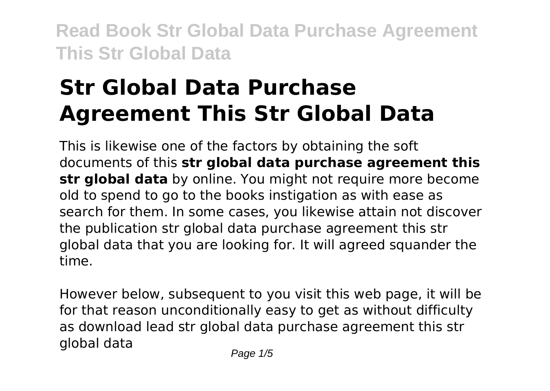# **Str Global Data Purchase Agreement This Str Global Data**

This is likewise one of the factors by obtaining the soft documents of this **str global data purchase agreement this str global data** by online. You might not require more become old to spend to go to the books instigation as with ease as search for them. In some cases, you likewise attain not discover the publication str global data purchase agreement this str global data that you are looking for. It will agreed squander the time.

However below, subsequent to you visit this web page, it will be for that reason unconditionally easy to get as without difficulty as download lead str global data purchase agreement this str global data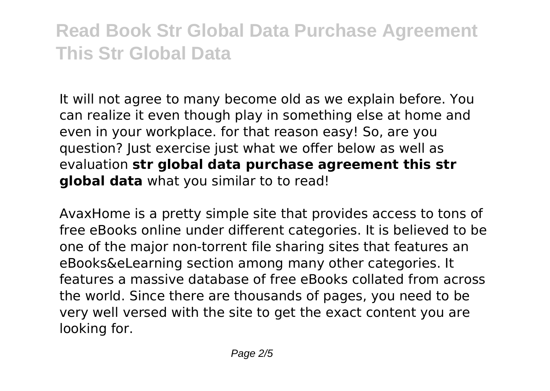It will not agree to many become old as we explain before. You can realize it even though play in something else at home and even in your workplace. for that reason easy! So, are you question? Just exercise just what we offer below as well as evaluation **str global data purchase agreement this str global data** what you similar to to read!

AvaxHome is a pretty simple site that provides access to tons of free eBooks online under different categories. It is believed to be one of the major non-torrent file sharing sites that features an eBooks&eLearning section among many other categories. It features a massive database of free eBooks collated from across the world. Since there are thousands of pages, you need to be very well versed with the site to get the exact content you are looking for.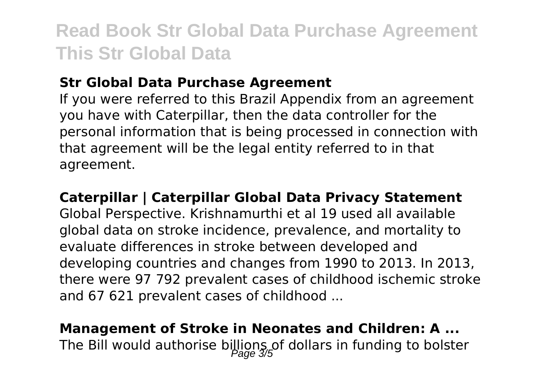### **Str Global Data Purchase Agreement**

If you were referred to this Brazil Appendix from an agreement you have with Caterpillar, then the data controller for the personal information that is being processed in connection with that agreement will be the legal entity referred to in that agreement.

#### **Caterpillar | Caterpillar Global Data Privacy Statement**

Global Perspective. Krishnamurthi et al 19 used all available global data on stroke incidence, prevalence, and mortality to evaluate differences in stroke between developed and developing countries and changes from 1990 to 2013. In 2013, there were 97 792 prevalent cases of childhood ischemic stroke and 67 621 prevalent cases of childhood ...

### **Management of Stroke in Neonates and Children: A ...** The Bill would authorise billions of dollars in funding to bolster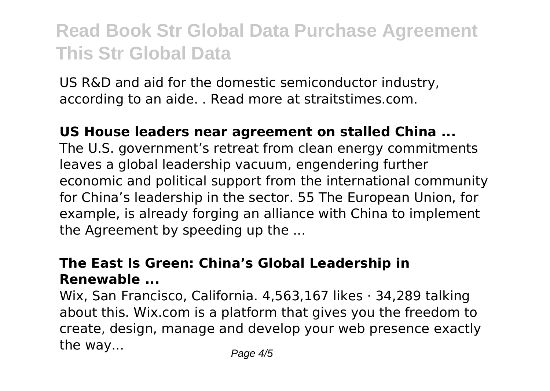US R&D and aid for the domestic semiconductor industry, according to an aide. . Read more at straitstimes.com.

### **US House leaders near agreement on stalled China ...**

The U.S. government's retreat from clean energy commitments leaves a global leadership vacuum, engendering further economic and political support from the international community for China's leadership in the sector. 55 The European Union, for example, is already forging an alliance with China to implement the Agreement by speeding up the ...

### **The East Is Green: China's Global Leadership in Renewable ...**

Wix, San Francisco, California. 4,563,167 likes · 34,289 talking about this. Wix.com is a platform that gives you the freedom to create, design, manage and develop your web presence exactly the way...  $P_{\text{a}}$  Page 4/5